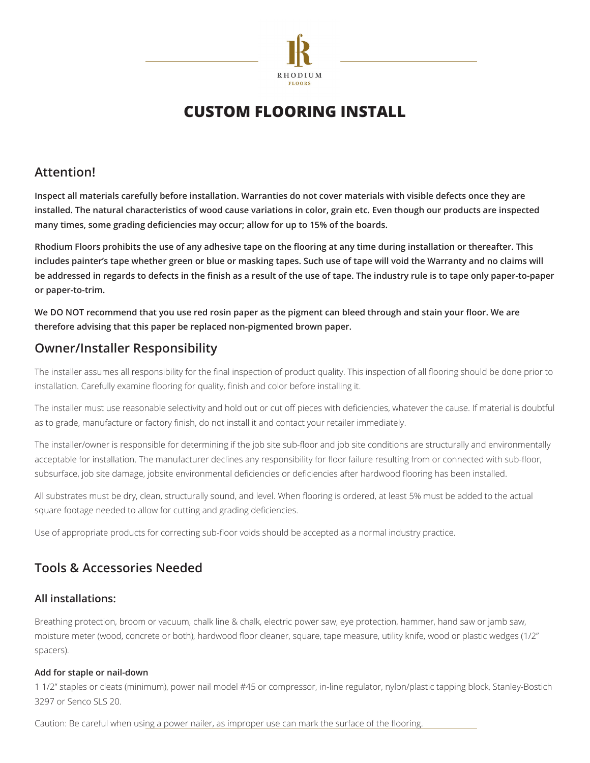

# **Custom Flooring Install**

### **Attention!**

**Inspect all materials carefully before installation. Warranties do not cover materials with visible defects once they are installed. The natural characteristics of wood cause variations in color, grain etc. Even though our products are inspected many times, some grading deficiencies may occur; allow for up to 15% of the boards.**

**Rhodium Floors prohibits the use of any adhesive tape on the flooring at any time during installation or thereafter. This includes painter's tape whether green or blue or masking tapes. Such use of tape will void the Warranty and no claims will be addressed in regards to defects in the finish as a result of the use of tape. The industry rule is to tape only paper-to-paper or paper-to-trim.**

**We DO NOT recommend that you use red rosin paper as the pigment can bleed through and stain your floor. We are therefore advising that this paper be replaced non-pigmented brown paper.** 

## **Owner/Installer Responsibility**

The installer assumes all responsibility for the final inspection of product quality. This inspection of all flooring should be done prior to installation. Carefully examine flooring for quality, finish and color before installing it.

The installer must use reasonable selectivity and hold out or cut off pieces with deficiencies, whatever the cause. If material is doubtful as to grade, manufacture or factory finish, do not install it and contact your retailer immediately.

The installer/owner is responsible for determining if the job site sub-floor and job site conditions are structurally and environmentally acceptable for installation. The manufacturer declines any responsibility for floor failure resulting from or connected with sub-floor, subsurface, job site damage, jobsite environmental deficiencies or deficiencies after hardwood flooring has been installed.

All substrates must be dry, clean, structurally sound, and level. When flooring is ordered, at least 5% must be added to the actual square footage needed to allow for cutting and grading deficiencies.

Use of appropriate products for correcting sub-floor voids should be accepted as a normal industry practice.

## **Tools & Accessories Needed**

### **All installations:**

Breathing protection, broom or vacuum, chalk line & chalk, electric power saw, eye protection, hammer, hand saw or jamb saw, moisture meter (wood, concrete or both), hardwood floor cleaner, square, tape measure, utility knife, wood or plastic wedges (1/2" spacers).

#### **Add for staple or nail-down**

1 1/2" staples or cleats (minimum), power nail model #45 or compressor, in-line regulator, nylon/plastic tapping block, Stanley-Bostich 3297 or Senco SLS 20.

Caution: Be careful when using a power nailer, as improper use can mark the surface of the flooring.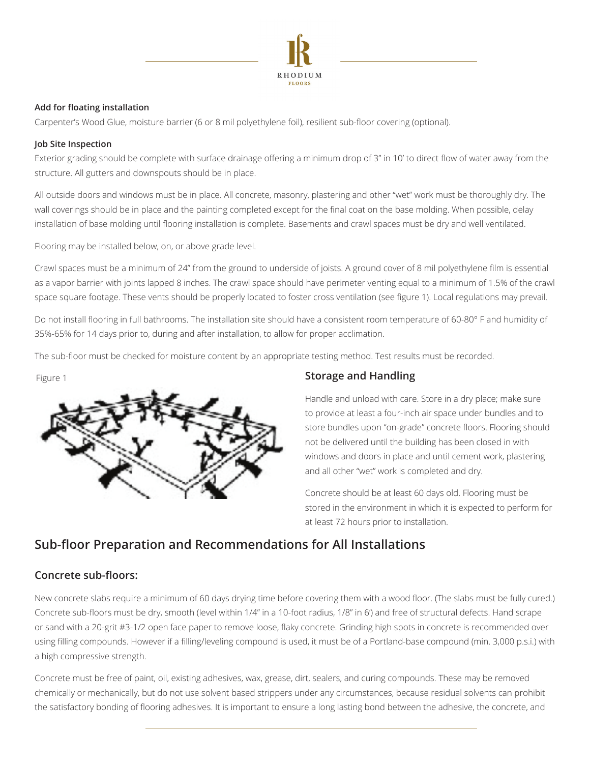

#### **Add for floating installation**

Carpenter's Wood Glue, moisture barrier (6 or 8 mil polyethylene foil), resilient sub-floor covering (optional).

#### **Job Site Inspection**

Exterior grading should be complete with surface drainage offering a minimum drop of 3" in 10' to direct flow of water away from the structure. All gutters and downspouts should be in place.

All outside doors and windows must be in place. All concrete, masonry, plastering and other "wet" work must be thoroughly dry. The wall coverings should be in place and the painting completed except for the final coat on the base molding. When possible, delay installation of base molding until flooring installation is complete. Basements and crawl spaces must be dry and well ventilated.

Flooring may be installed below, on, or above grade level.

Crawl spaces must be a minimum of 24" from the ground to underside of joists. A ground cover of 8 mil polyethylene film is essential as a vapor barrier with joints lapped 8 inches. The crawl space should have perimeter venting equal to a minimum of 1.5% of the crawl space square footage. These vents should be properly located to foster cross ventilation (see figure 1). Local regulations may prevail.

Do not install flooring in full bathrooms. The installation site should have a consistent room temperature of 60-80° F and humidity of 35%-65% for 14 days prior to, during and after installation, to allow for proper acclimation.

The sub-floor must be checked for moisture content by an appropriate testing method. Test results must be recorded.

Figure 1



### **Storage and Handling**

Handle and unload with care. Store in a dry place; make sure to provide at least a four-inch air space under bundles and to store bundles upon "on-grade" concrete floors. Flooring should not be delivered until the building has been closed in with windows and doors in place and until cement work, plastering and all other "wet" work is completed and dry.

Concrete should be at least 60 days old. Flooring must be stored in the environment in which it is expected to perform for at least 72 hours prior to installation.

## **Sub-floor Preparation and Recommendations for All Installations**

### **Concrete sub-floors:**

New concrete slabs require a minimum of 60 days drying time before covering them with a wood floor. (The slabs must be fully cured.) Concrete sub-floors must be dry, smooth (level within 1/4" in a 10-foot radius, 1/8" in 6') and free of structural defects. Hand scrape or sand with a 20-grit #3-1/2 open face paper to remove loose, flaky concrete. Grinding high spots in concrete is recommended over using filling compounds. However if a filling/leveling compound is used, it must be of a Portland-base compound (min. 3,000 p.s.i.) with a high compressive strength.

Concrete must be free of paint, oil, existing adhesives, wax, grease, dirt, sealers, and curing compounds. These may be removed chemically or mechanically, but do not use solvent based strippers under any circumstances, because residual solvents can prohibit the satisfactory bonding of flooring adhesives. It is important to ensure a long lasting bond between the adhesive, the concrete, and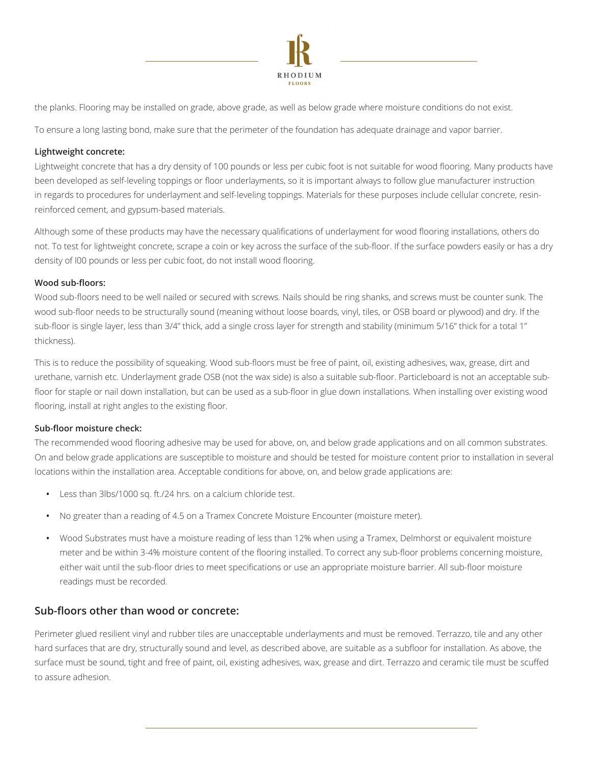

the planks. Flooring may be installed on grade, above grade, as well as below grade where moisture conditions do not exist.

To ensure a long lasting bond, make sure that the perimeter of the foundation has adequate drainage and vapor barrier.

#### **Lightweight concrete:**

Lightweight concrete that has a dry density of 100 pounds or less per cubic foot is not suitable for wood flooring. Many products have been developed as self-leveling toppings or floor underlayments, so it is important always to follow glue manufacturer instruction in regards to procedures for underlayment and self-leveling toppings. Materials for these purposes include cellular concrete, resinreinforced cement, and gypsum-based materials.

Although some of these products may have the necessary qualifications of underlayment for wood flooring installations, others do not. To test for lightweight concrete, scrape a coin or key across the surface of the sub-floor. If the surface powders easily or has a dry density of l00 pounds or less per cubic foot, do not install wood flooring.

#### **Wood sub-floors:**

Wood sub-floors need to be well nailed or secured with screws. Nails should be ring shanks, and screws must be counter sunk. The wood sub-floor needs to be structurally sound (meaning without loose boards, vinyl, tiles, or OSB board or plywood) and dry. If the sub-floor is single layer, less than 3/4" thick, add a single cross layer for strength and stability (minimum 5/16" thick for a total 1" thickness).

This is to reduce the possibility of squeaking. Wood sub-floors must be free of paint, oil, existing adhesives, wax, grease, dirt and urethane, varnish etc. Underlayment grade OSB (not the wax side) is also a suitable sub-floor. Particleboard is not an acceptable subfloor for staple or nail down installation, but can be used as a sub-floor in glue down installations. When installing over existing wood flooring, install at right angles to the existing floor.

#### **Sub-floor moisture check:**

The recommended wood flooring adhesive may be used for above, on, and below grade applications and on all common substrates. On and below grade applications are susceptible to moisture and should be tested for moisture content prior to installation in several locations within the installation area. Acceptable conditions for above, on, and below grade applications are:

- **•** Less than 3lbs/1000 sq. ft./24 hrs. on a calcium chloride test.
- **•** No greater than a reading of 4.5 on a Tramex Concrete Moisture Encounter (moisture meter).
- **•** Wood Substrates must have a moisture reading of less than 12% when using a Tramex, Delmhorst or equivalent moisture meter and be within 3-4% moisture content of the flooring installed. To correct any sub-floor problems concerning moisture, either wait until the sub-floor dries to meet specifications or use an appropriate moisture barrier. All sub-floor moisture readings must be recorded.

#### **Sub-floors other than wood or concrete:**

Perimeter glued resilient vinyl and rubber tiles are unacceptable underlayments and must be removed. Terrazzo, tile and any other hard surfaces that are dry, structurally sound and level, as described above, are suitable as a subfloor for installation. As above, the surface must be sound, tight and free of paint, oil, existing adhesives, wax, grease and dirt. Terrazzo and ceramic tile must be scuffed to assure adhesion.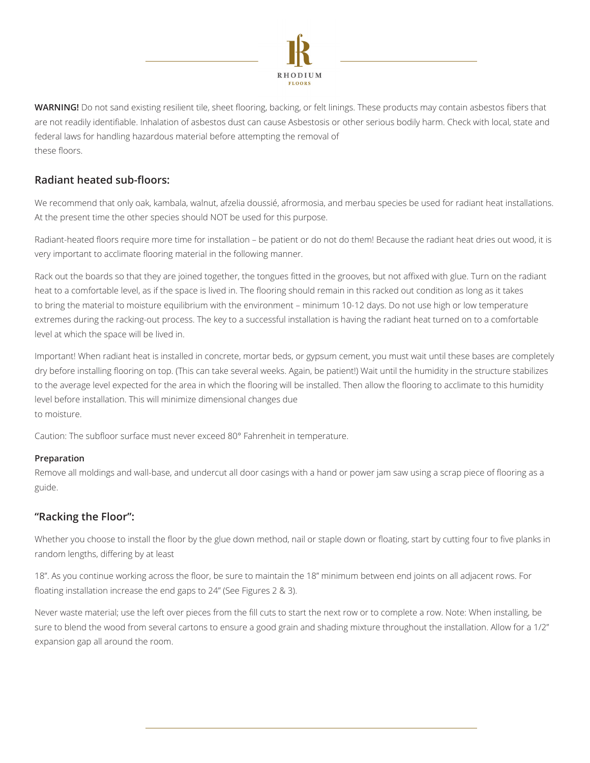

**WARNING!** Do not sand existing resilient tile, sheet flooring, backing, or felt linings. These products may contain asbestos fibers that are not readily identifiable. Inhalation of asbestos dust can cause Asbestosis or other serious bodily harm. Check with local, state and federal laws for handling hazardous material before attempting the removal of these floors.

### **Radiant heated sub-floors:**

We recommend that only oak, kambala, walnut, afzelia doussié, afrormosia, and merbau species be used for radiant heat installations. At the present time the other species should NOT be used for this purpose.

Radiant-heated floors require more time for installation – be patient or do not do them! Because the radiant heat dries out wood, it is very important to acclimate flooring material in the following manner.

Rack out the boards so that they are joined together, the tongues fitted in the grooves, but not affixed with glue. Turn on the radiant heat to a comfortable level, as if the space is lived in. The flooring should remain in this racked out condition as long as it takes to bring the material to moisture equilibrium with the environment – minimum 10-12 days. Do not use high or low temperature extremes during the racking-out process. The key to a successful installation is having the radiant heat turned on to a comfortable level at which the space will be lived in.

Important! When radiant heat is installed in concrete, mortar beds, or gypsum cement, you must wait until these bases are completely dry before installing flooring on top. (This can take several weeks. Again, be patient!) Wait until the humidity in the structure stabilizes to the average level expected for the area in which the flooring will be installed. Then allow the flooring to acclimate to this humidity level before installation. This will minimize dimensional changes due to moisture.

Caution: The subfloor surface must never exceed 80° Fahrenheit in temperature.

#### **Preparation**

Remove all moldings and wall-base, and undercut all door casings with a hand or power jam saw using a scrap piece of flooring as a guide.

### **"Racking the Floor":**

Whether you choose to install the floor by the glue down method, nail or staple down or floating, start by cutting four to five planks in random lengths, differing by at least

18". As you continue working across the floor, be sure to maintain the 18" minimum between end joints on all adjacent rows. For floating installation increase the end gaps to 24" (See Figures 2 & 3).

Never waste material; use the left over pieces from the fill cuts to start the next row or to complete a row. Note: When installing, be sure to blend the wood from several cartons to ensure a good grain and shading mixture throughout the installation. Allow for a 1/2" expansion gap all around the room.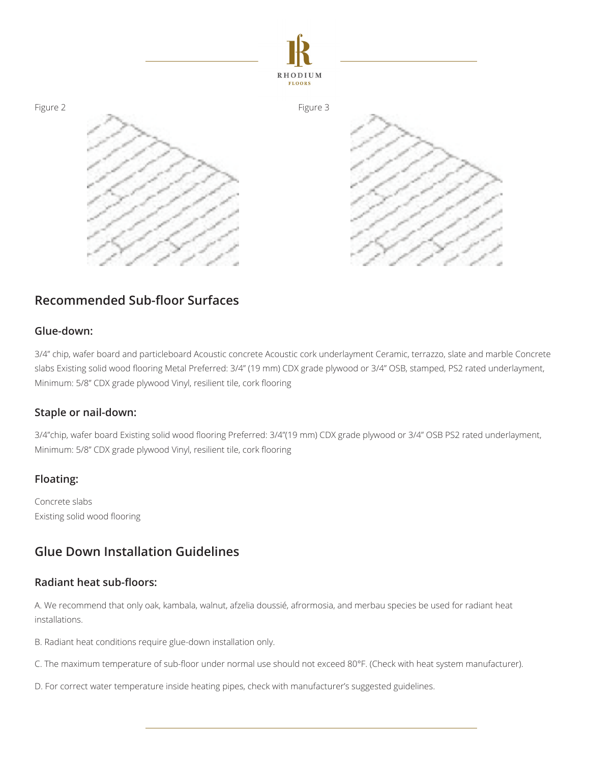

## **Recommended Sub-floor Surfaces**

#### **Glue-down:**

3/4" chip, wafer board and particleboard Acoustic concrete Acoustic cork underlayment Ceramic, terrazzo, slate and marble Concrete slabs Existing solid wood flooring Metal Preferred: 3/4" (19 mm) CDX grade plywood or 3/4" OSB, stamped, PS2 rated underlayment, Minimum: 5/8" CDX grade plywood Vinyl, resilient tile, cork flooring

#### **Staple or nail-down:**

3/4"chip, wafer board Existing solid wood flooring Preferred: 3/4"(19 mm) CDX grade plywood or 3/4" OSB PS2 rated underlayment, Minimum: 5/8" CDX grade plywood Vinyl, resilient tile, cork flooring

### **Floating:**

Concrete slabs Existing solid wood flooring

## **Glue Down Installation Guidelines**

#### **Radiant heat sub-floors:**

A. We recommend that only oak, kambala, walnut, afzelia doussié, afrormosia, and merbau species be used for radiant heat installations.

B. Radiant heat conditions require glue-down installation only.

C. The maximum temperature of sub-floor under normal use should not exceed 80°F. (Check with heat system manufacturer).

D. For correct water temperature inside heating pipes, check with manufacturer's suggested guidelines.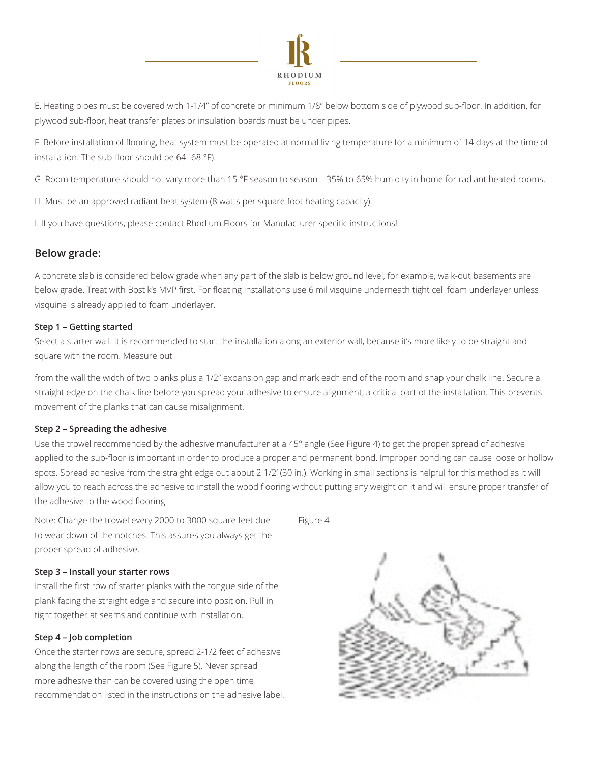

E. Heating pipes must be covered with 1-1/4" of concrete or minimum 1/8" below bottom side of plywood sub-floor. In addition, for plywood sub-floor, heat transfer plates or insulation boards must be under pipes.

F. Before installation of flooring, heat system must be operated at normal living temperature for a minimum of 14 days at the time of installation. The sub-floor should be 64 -68 °F).

G. Room temperature should not vary more than 15 °F season to season – 35% to 65% humidity in home for radiant heated rooms.

H. Must be an approved radiant heat system (8 watts per square foot heating capacity).

I. If you have questions, please contact Rhodium Floors for Manufacturer specific instructions!

#### **Below grade:**

A concrete slab is considered below grade when any part of the slab is below ground level, for example, walk-out basements are below grade. Treat with Bostik's MVP first. For floating installations use 6 mil visquine underneath tight cell foam underlayer unless visquine is already applied to foam underlayer.

#### **Step 1 – Getting started**

Select a starter wall. It is recommended to start the installation along an exterior wall, because it's more likely to be straight and square with the room. Measure out

from the wall the width of two planks plus a 1/2" expansion gap and mark each end of the room and snap your chalk line. Secure a straight edge on the chalk line before you spread your adhesive to ensure alignment, a critical part of the installation. This prevents movement of the planks that can cause misalignment.

#### **Step 2 – Spreading the adhesive**

Use the trowel recommended by the adhesive manufacturer at a 45° angle (See Figure 4) to get the proper spread of adhesive applied to the sub-floor is important in order to produce a proper and permanent bond. Improper bonding can cause loose or hollow spots. Spread adhesive from the straight edge out about 2 1/2' (30 in.). Working in small sections is helpful for this method as it will allow you to reach across the adhesive to install the wood flooring without putting any weight on it and will ensure proper transfer of the adhesive to the wood flooring.

Note: Change the trowel every 2000 to 3000 square feet due to wear down of the notches. This assures you always get the proper spread of adhesive.

#### **Step 3 – Install your starter rows**

Install the first row of starter planks with the tongue side of the plank facing the straight edge and secure into position. Pull in tight together at seams and continue with installation.

#### **Step 4 – Job completion**

Once the starter rows are secure, spread 2-1/2 feet of adhesive along the length of the room (See Figure 5). Never spread more adhesive than can be covered using the open time recommendation listed in the instructions on the adhesive label. Figure 4

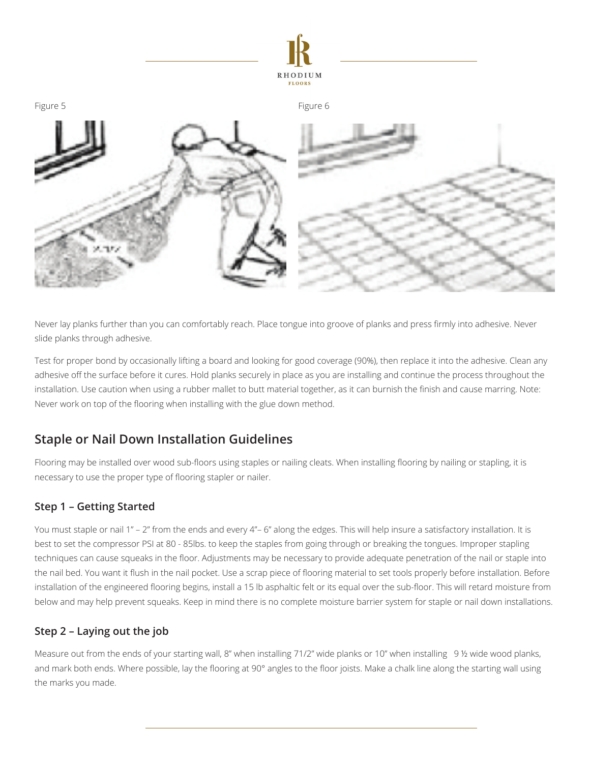



Never lay planks further than you can comfortably reach. Place tongue into groove of planks and press firmly into adhesive. Never slide planks through adhesive.

Test for proper bond by occasionally lifting a board and looking for good coverage (90%), then replace it into the adhesive. Clean any adhesive off the surface before it cures. Hold planks securely in place as you are installing and continue the process throughout the installation. Use caution when using a rubber mallet to butt material together, as it can burnish the finish and cause marring. Note: Never work on top of the flooring when installing with the glue down method.

## **Staple or Nail Down Installation Guidelines**

Flooring may be installed over wood sub-floors using staples or nailing cleats. When installing flooring by nailing or stapling, it is necessary to use the proper type of flooring stapler or nailer.

### **Step 1 – Getting Started**

You must staple or nail 1" – 2" from the ends and every 4"– 6" along the edges. This will help insure a satisfactory installation. It is best to set the compressor PSI at 80 - 85lbs. to keep the staples from going through or breaking the tongues. Improper stapling techniques can cause squeaks in the floor. Adjustments may be necessary to provide adequate penetration of the nail or staple into the nail bed. You want it flush in the nail pocket. Use a scrap piece of flooring material to set tools properly before installation. Before installation of the engineered flooring begins, install a 15 lb asphaltic felt or its equal over the sub-floor. This will retard moisture from below and may help prevent squeaks. Keep in mind there is no complete moisture barrier system for staple or nail down installations.

### **Step 2 – Laying out the job**

Measure out from the ends of your starting wall, 8" when installing 71/2" wide planks or 10" when installing 9 ½ wide wood planks, and mark both ends. Where possible, lay the flooring at 90° angles to the floor joists. Make a chalk line along the starting wall using the marks you made.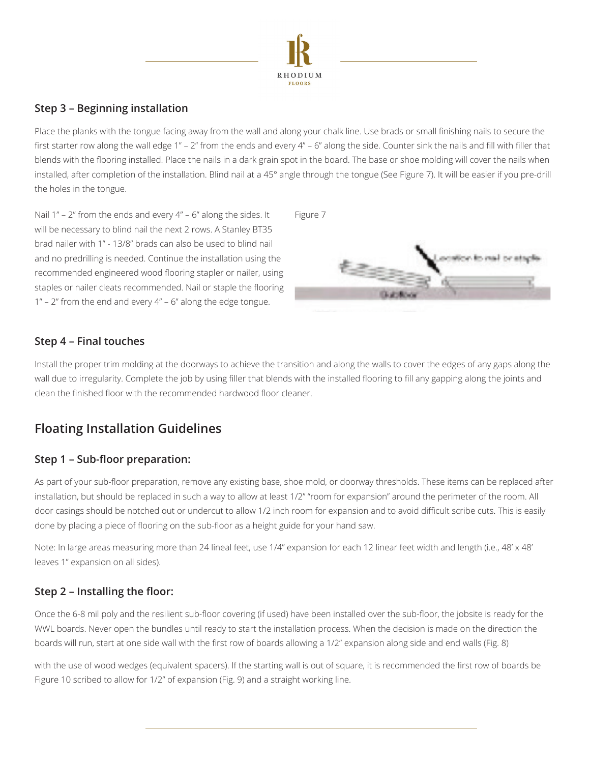

### **Step 3 – Beginning installation**

Place the planks with the tongue facing away from the wall and along your chalk line. Use brads or small finishing nails to secure the first starter row along the wall edge 1" – 2" from the ends and every 4" – 6" along the side. Counter sink the nails and fill with filler that blends with the flooring installed. Place the nails in a dark grain spot in the board. The base or shoe molding will cover the nails when installed, after completion of the installation. Blind nail at a 45° angle through the tongue (See Figure 7). It will be easier if you pre-drill the holes in the tongue.

Nail  $1''$  – 2" from the ends and every  $4''$  – 6" along the sides. It Figure 7 will be necessary to blind nail the next 2 rows. A Stanley BT35 brad nailer with 1" - 13/8" brads can also be used to blind nail and no predrilling is needed. Continue the installation using the recommended engineered wood flooring stapler or nailer, using staples or nailer cleats recommended. Nail or staple the flooring 1" – 2" from the end and every 4" – 6" along the edge tongue.



### **Step 4 – Final touches**

Install the proper trim molding at the doorways to achieve the transition and along the walls to cover the edges of any gaps along the wall due to irregularity. Complete the job by using filler that blends with the installed flooring to fill any gapping along the joints and clean the finished floor with the recommended hardwood floor cleaner.

## **Floating Installation Guidelines**

### **Step 1 – Sub-floor preparation:**

As part of your sub-floor preparation, remove any existing base, shoe mold, or doorway thresholds. These items can be replaced after installation, but should be replaced in such a way to allow at least 1/2" "room for expansion" around the perimeter of the room. All door casings should be notched out or undercut to allow 1/2 inch room for expansion and to avoid difficult scribe cuts. This is easily done by placing a piece of flooring on the sub-floor as a height guide for your hand saw.

Note: In large areas measuring more than 24 lineal feet, use 1/4" expansion for each 12 linear feet width and length (i.e., 48' x 48' leaves 1" expansion on all sides).

### **Step 2 – Installing the floor:**

Once the 6-8 mil poly and the resilient sub-floor covering (if used) have been installed over the sub-floor, the jobsite is ready for the WWL boards. Never open the bundles until ready to start the installation process. When the decision is made on the direction the boards will run, start at one side wall with the first row of boards allowing a 1/2" expansion along side and end walls (Fig. 8)

with the use of wood wedges (equivalent spacers). If the starting wall is out of square, it is recommended the first row of boards be Figure 10 scribed to allow for 1/2" of expansion (Fig. 9) and a straight working line.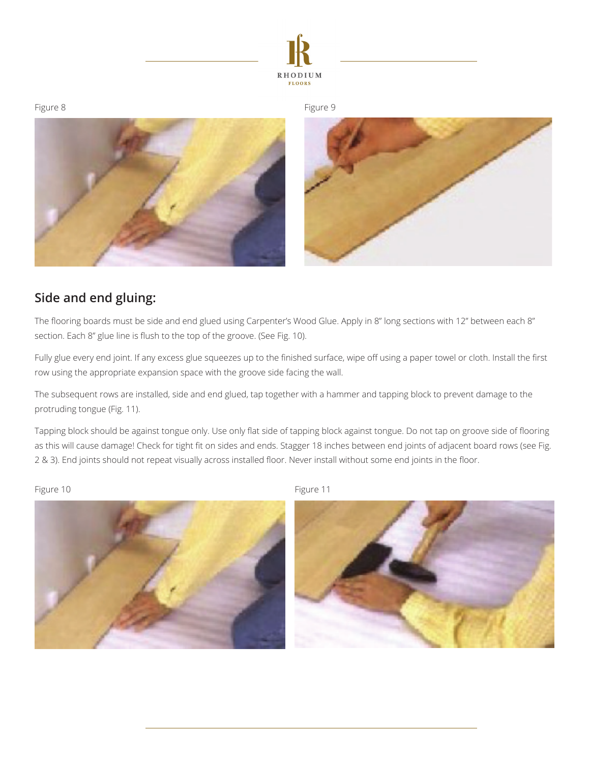





## **Side and end gluing:**

The flooring boards must be side and end glued using Carpenter's Wood Glue. Apply in 8" long sections with 12" between each 8" section. Each 8" glue line is flush to the top of the groove. (See Fig. 10).

Fully glue every end joint. If any excess glue squeezes up to the finished surface, wipe off using a paper towel or cloth. Install the first row using the appropriate expansion space with the groove side facing the wall.

The subsequent rows are installed, side and end glued, tap together with a hammer and tapping block to prevent damage to the protruding tongue (Fig. 11).

Tapping block should be against tongue only. Use only flat side of tapping block against tongue. Do not tap on groove side of flooring as this will cause damage! Check for tight fit on sides and ends. Stagger 18 inches between end joints of adjacent board rows (see Fig. 2 & 3). End joints should not repeat visually across installed floor. Never install without some end joints in the floor.

Figure 10 Figure 11





Figure 8 and 10 and 10 and 10 and 10 and 10 and 10 and 10 and 10 and 10 and 10 and 10 and 10 and 10 and 10 and 10 and 10 and 10 and 10 and 10 and 10 and 10 and 10 and 10 and 10 and 10 and 10 and 10 and 10 and 10 and 10 and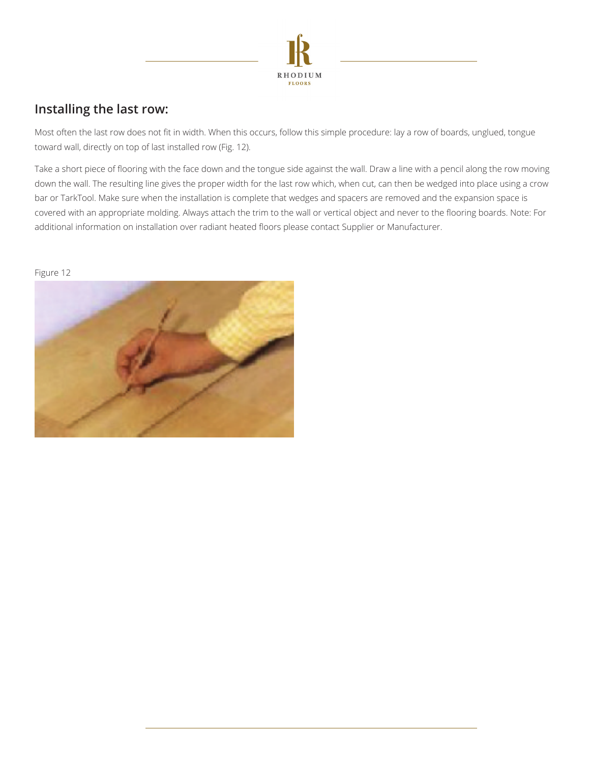

## **Installing the last row:**

Most often the last row does not fit in width. When this occurs, follow this simple procedure: lay a row of boards, unglued, tongue toward wall, directly on top of last installed row (Fig. 12).

Take a short piece of flooring with the face down and the tongue side against the wall. Draw a line with a pencil along the row moving down the wall. The resulting line gives the proper width for the last row which, when cut, can then be wedged into place using a crow bar or TarkTool. Make sure when the installation is complete that wedges and spacers are removed and the expansion space is covered with an appropriate molding. Always attach the trim to the wall or vertical object and never to the flooring boards. Note: For additional information on installation over radiant heated floors please contact Supplier or Manufacturer.

#### Figure 12

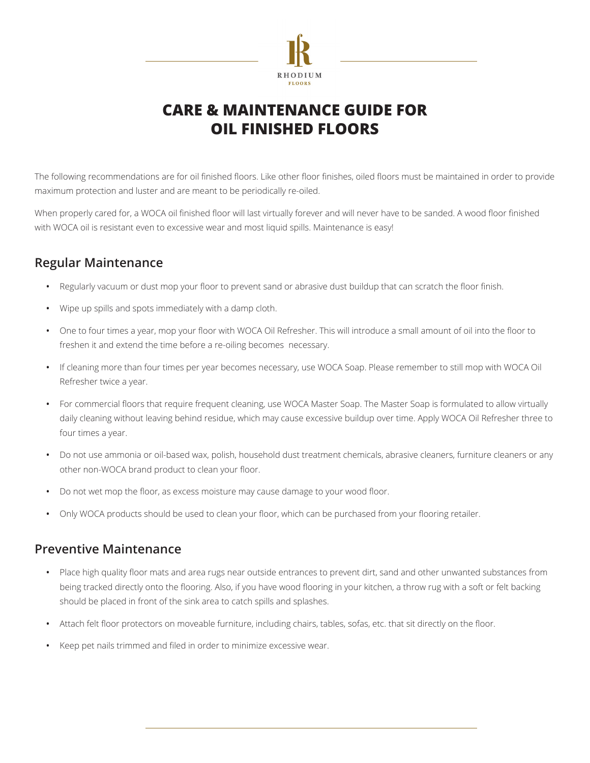

# **Care & Maintenance Guide for Oil Finished Floors**

The following recommendations are for oil finished floors. Like other floor finishes, oiled floors must be maintained in order to provide maximum protection and luster and are meant to be periodically re-oiled.

When properly cared for, a WOCA oil finished floor will last virtually forever and will never have to be sanded. A wood floor finished with WOCA oil is resistant even to excessive wear and most liquid spills. Maintenance is easy!

### **Regular Maintenance**

- **•** Regularly vacuum or dust mop your floor to prevent sand or abrasive dust buildup that can scratch the floor finish.
- **•** Wipe up spills and spots immediately with a damp cloth.
- **•** One to four times a year, mop your floor with WOCA Oil Refresher. This will introduce a small amount of oil into the floor to freshen it and extend the time before a re-oiling becomes necessary.
- **•** If cleaning more than four times per year becomes necessary, use WOCA Soap. Please remember to still mop with WOCA Oil Refresher twice a year.
- **•** For commercial floors that require frequent cleaning, use WOCA Master Soap. The Master Soap is formulated to allow virtually daily cleaning without leaving behind residue, which may cause excessive buildup over time. Apply WOCA Oil Refresher three to four times a year.
- **•** Do not use ammonia or oil-based wax, polish, household dust treatment chemicals, abrasive cleaners, furniture cleaners or any other non-WOCA brand product to clean your floor.
- **•** Do not wet mop the floor, as excess moisture may cause damage to your wood floor.
- **•** Only WOCA products should be used to clean your floor, which can be purchased from your flooring retailer.

### **Preventive Maintenance**

- **•** Place high quality floor mats and area rugs near outside entrances to prevent dirt, sand and other unwanted substances from being tracked directly onto the flooring. Also, if you have wood flooring in your kitchen, a throw rug with a soft or felt backing should be placed in front of the sink area to catch spills and splashes.
- **•** Attach felt floor protectors on moveable furniture, including chairs, tables, sofas, etc. that sit directly on the floor.
- **•** Keep pet nails trimmed and filed in order to minimize excessive wear.